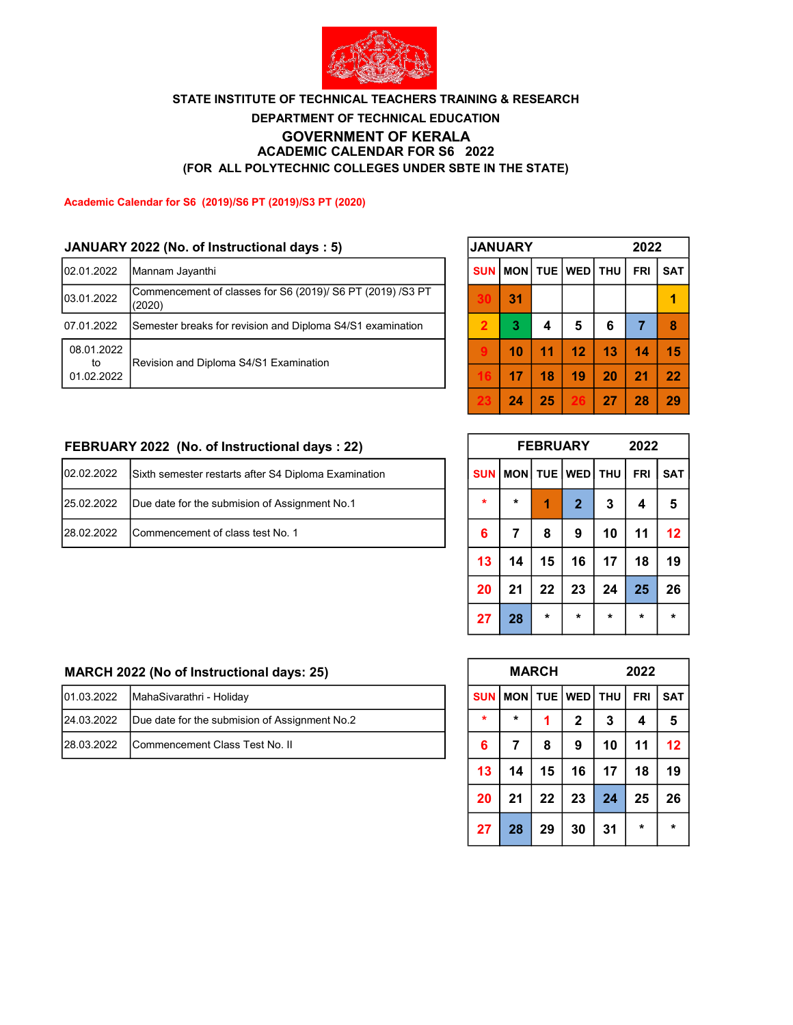

# DEPARTMENT OF TECHNICAL EDUCATION ACADEMIC CALENDAR FOR S6 2022 (FOR ALL POLYTECHNIC COLLEGES UNDER SBTE IN THE STATE) STATE INSTITUTE OF TECHNICAL TEACHERS TRAINING & RESEARCH GOVERNMENT OF KERALA

### Academic Calendar for S6 (2019)/S6 PT (2019)/S3 PT (2020)

### JANUARY 2022 (No. of Instructional days : 5)

| 02.01.2022       | Mannam Jayanthi                                                      | <b>SUN</b> |    |    | MON   TUE   WED   THU |    | <b>FRI</b>     | <b>SAT</b> |
|------------------|----------------------------------------------------------------------|------------|----|----|-----------------------|----|----------------|------------|
| 03.01.2022       | Commencement of classes for S6 (2019)/ S6 PT (2019) /S3 PT<br>(2020) |            | 31 |    |                       |    |                |            |
| 07.01.2022       | Semester breaks for revision and Diploma S4/S1 examination           |            | 3  |    | 5                     | 6  |                |            |
| 08.01.2022<br>to | Revision and Diploma S4/S1 Examination                               |            | 10 | 11 | 12                    | 13 | 14             | 15         |
| 01.02.2022       |                                                                      |            |    | 18 | 19                    | 20 | 2 <sub>1</sub> | 22         |

|                | <b>JANUARY</b> |    |                 | 2022 |                |            |  |  |  |  |
|----------------|----------------|----|-----------------|------|----------------|------------|--|--|--|--|
| <b>SUN</b>     | MON            |    | TUE   WED   THU |      | <b>FRI</b>     | <b>SAT</b> |  |  |  |  |
| 30             | 31             |    |                 |      |                |            |  |  |  |  |
| $\overline{2}$ | 3              | 4  | 5               | 6    | $\overline{7}$ | 8          |  |  |  |  |
| 9              | 10             | 11 | 12              | 13   | 14             | 15         |  |  |  |  |
| 16             | 17             | 18 | 19              | 20   | 21             | 22         |  |  |  |  |
| 23             | 24             | 25 | 26              | 27   | 28             | 29         |  |  |  |  |

### FEBRUARY 2022 (No. of Instructional days : 22)

| 02.02.2022 | Sixth semester restarts after S4 Diploma Examination |  |         |   | $\vert$ SUN $\vert$ MON $\vert$ TUE $\vert$ WED $\vert$ THU $\vert$ FRI $\vert$ SAT $\vert$ |  |
|------------|------------------------------------------------------|--|---------|---|---------------------------------------------------------------------------------------------|--|
| 25.02.2022 | Due date for the submision of Assignment No.1        |  | $\star$ |   |                                                                                             |  |
| 28.02.2022 | Commencement of class test No. 1                     |  |         | o |                                                                                             |  |

|            | <b>FEBRUARY</b> |         | 2022            |         |            |            |
|------------|-----------------|---------|-----------------|---------|------------|------------|
| <b>SUN</b> | <b>MON</b>      |         | TUE   WED   THU |         | <b>FRI</b> | <b>SAT</b> |
| $\star$    | $\star$         | 1       | $\overline{2}$  | 3       | 4          | 5          |
| 6          | 7               | 8       | 9               | 10      | 11         | 12         |
| 13         | 14              | 15      | 16              | 17      | 18         | 19         |
| 20         | 21              | 22      | 23              | 24      | 25         | 26         |
| 27         | 28              | $\star$ | $\star$         | $\star$ | $\star$    | $\star$    |

# MARCH 2022 (No of Instructional days: 25)

| 101.03.2022 | MahaSivarathri - Holiday                      |  | SUN   MON   TUE   WED   THU   FRI   SAT |  |  |  |
|-------------|-----------------------------------------------|--|-----------------------------------------|--|--|--|
| 24.03.2022  | Due date for the submision of Assignment No.2 |  |                                         |  |  |  |
| 28.03.2022  | Commencement Class Test No. II                |  |                                         |  |  |  |

|            |         | <b>MARCH</b> |             | 2022       |         |            |  |  |  |  |
|------------|---------|--------------|-------------|------------|---------|------------|--|--|--|--|
| <b>SUN</b> | MON     |              | TUE   WED   | <b>THU</b> |         | <b>SAT</b> |  |  |  |  |
| $\star$    | $\star$ | 1            | $\mathbf 2$ | 3          | 4       | 5          |  |  |  |  |
| 6          | 7       | 8            | 9           | 10         | 11      | 12         |  |  |  |  |
| 13         | 14      | 15           | 16          | 17         | 18      | 19         |  |  |  |  |
| 20         | 21      | 22           | 23          | 24         | 25      | 26         |  |  |  |  |
| 27         | 28      | 29           | 30          | 31         | $\star$ | $\star$    |  |  |  |  |